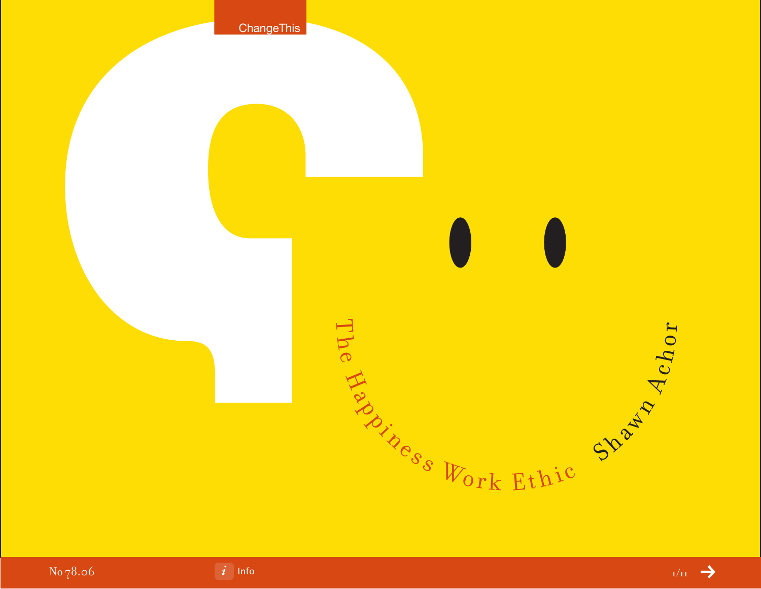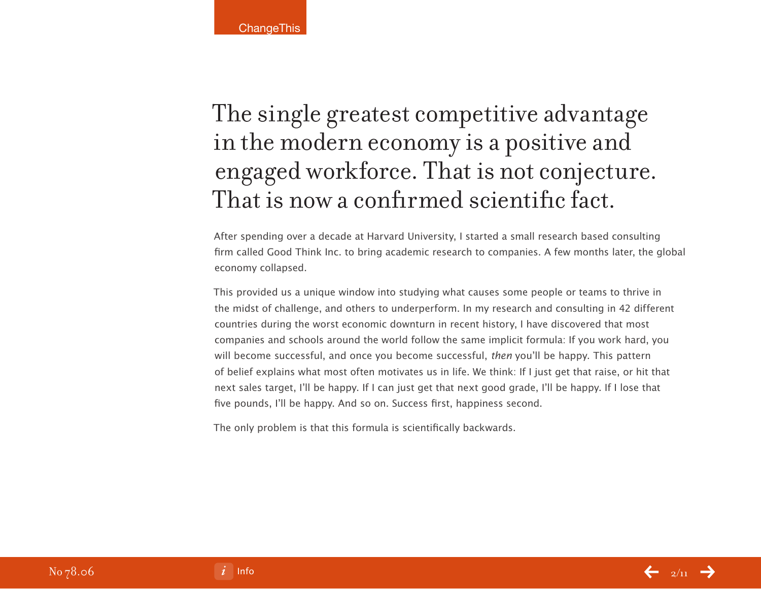### The single greatest competitive advantage in the modern economy is a positive and engaged workforce. That is not conjecture. That is now a confirmed scientific fact.

After spending over a decade at Harvard University, I started a small research based consulting firm called Good Think Inc. to bring academic research to companies. A few months later, the global economy collapsed.

This provided us a unique window into studying what causes some people or teams to thrive in the midst of challenge, and others to underperform. In my research and consulting in 42 different countries during the worst economic downturn in recent history, I have discovered that most companies and schools around the world follow the same implicit formula: If you work hard, you will become successful, and once you become successful, then you'll be happy. This pattern of belief explains what most often motivates us in life. We think: If I just get that raise, or hit that next sales target, I'll be happy. If I can just get that next good grade, I'll be happy. If I lose that five pounds, I'll be happy. And so on. Success first, happiness second.

The only problem is that this formula is scientifically backwards.

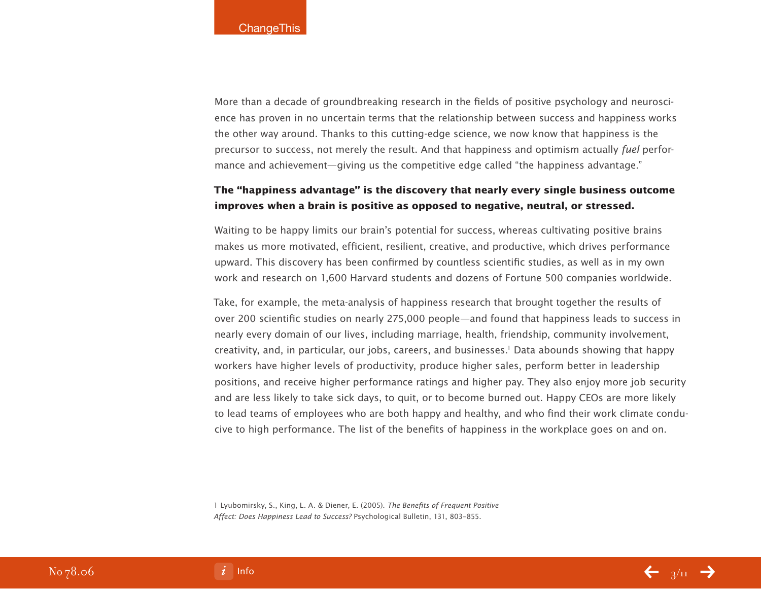More than a decade of groundbreaking research in the fields of positive psychology and neuroscience has proven in no uncertain terms that the relationship between success and happiness works the other way around. Thanks to this cutting-edge science, we now know that happiness is the precursor to success, not merely the result. And that happiness and optimism actually fuel performance and achievement—giving us the competitive edge called "the happiness advantage."

### **The "happiness advantage" is the discovery that nearly every single business outcome improves when a brain is positive as opposed to negative, neutral, or stressed.**

Waiting to be happy limits our brain's potential for success, whereas cultivating positive brains makes us more motivated, efficient, resilient, creative, and productive, which drives performance upward. This discovery has been confirmed by countless scientific studies, as well as in my own work and research on 1,600 Harvard students and dozens of Fortune 500 companies worldwide.

Take, for example, the meta-analysis of happiness research that brought together the results of over 200 scientific studies on nearly 275,000 people—and found that happiness leads to success in nearly every domain of our lives, including marriage, health, friendship, community involvement, creativity, and, in particular, our jobs, careers, and businesses.1 Data abounds showing that happy workers have higher levels of productivity, produce higher sales, perform better in leadership positions, and receive higher performance ratings and higher pay. They also enjoy more job security and are less likely to take sick days, to quit, or to become burned out. Happy CEOs are more likely to lead teams of employees who are both happy and healthy, and who find their work climate conducive to high performance. The list of the benefits of happiness in the workplace goes on and on.

1 Lyubomirsky, S., King, L. A. & Diener, E. (2005). The Benefits of Frequent Positive Affect: Does Happiness Lead to Success? Psychological Bulletin, 131, 803–855.

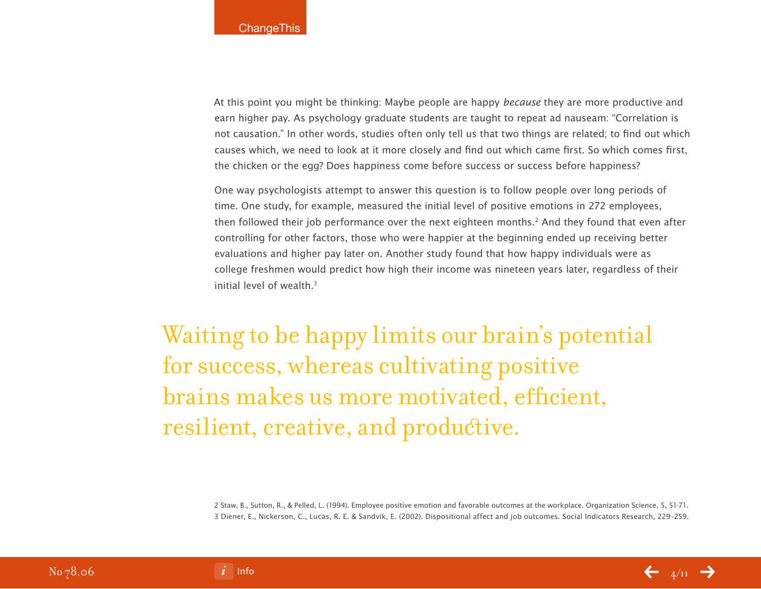At this point you might be thinking: Maybe people are happy because they are more productive and earn higher pay. As psychology graduate students are taught to repeat ad nauseam: "Correlation is not causation." In other words, studies often only tell us that two things are related; to find out which causes which, we need to look at it more closely and find out which came first. So which comes first, the chicken or the egg? Does happiness come before success or success before happiness?

One way psychologists attempt to answer this question is to follow people over long periods of time. One study, for example, measured the initial level of positive emotions in 272 employees, then followed their job performance over the next eighteen months.2 And they found that even after controlling for other factors, those who were happier at the beginning ended up receiving better evaluations and higher pay later on. Another study found that how happy individuals were as college freshmen would predict how high their income was nineteen years later, regardless of their initial level of wealth.3

Waiting to be happy limits our brain's potential for success, whereas cultivating positive brains makes us more motivated, efficient, resilient, creative, and productive.

> 2 Staw, B., Sutton, R., & Pelled, L. (1994). Employee positive emotion and favorable outcomes at the workplace. Organization Science, 5, 51-71. 3 Diener, E., Nickerson, C., Lucas, R. E. & Sandvik, E. (2002). Dispositional affect and job outcomes. Social Indicators Research, 229–259.



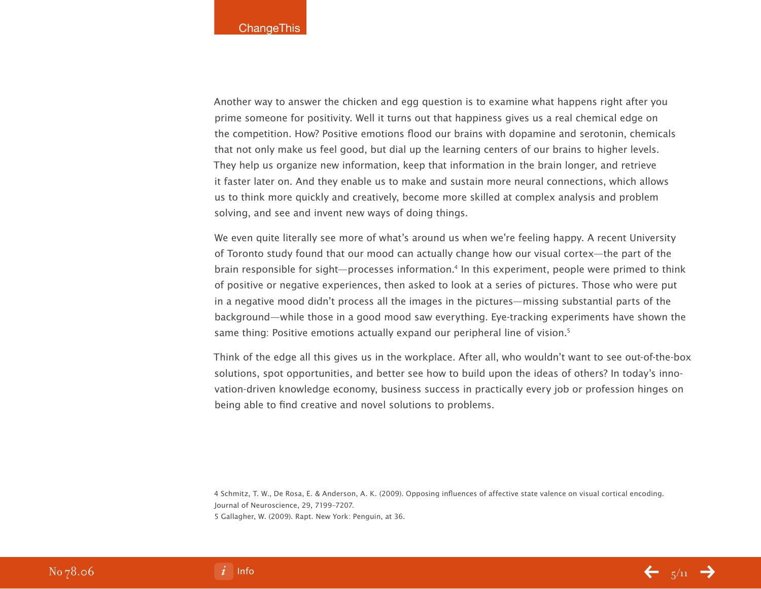Another way to answer the chicken and egg question is to examine what happens right after you prime someone for positivity. Well it turns out that happiness gives us a real chemical edge on the competition. How? Positive emotions flood our brains with dopamine and serotonin, chemicals that not only make us feel good, but dial up the learning centers of our brains to higher levels. They help us organize new information, keep that information in the brain longer, and retrieve it faster later on. And they enable us to make and sustain more neural connections, which allows us to think more quickly and creatively, become more skilled at complex analysis and problem solving, and see and invent new ways of doing things.

We even quite literally see more of what's around us when we're feeling happy. A recent University of Toronto study found that our mood can actually change how our visual cortex—the part of the brain responsible for sight—processes information.<sup>4</sup> In this experiment, people were primed to think of positive or negative experiences, then asked to look at a series of pictures. Those who were put in a negative mood didn't process all the images in the pictures—missing substantial parts of the background—while those in a good mood saw everything. Eye-tracking experiments have shown the same thing: Positive emotions actually expand our peripheral line of vision.<sup>5</sup>

Think of the edge all this gives us in the workplace. After all, who wouldn't want to see out-of-the-box solutions, spot opportunities, and better see how to build upon the ideas of others? In today's innovation-driven knowledge economy, business success in practically every job or profession hinges on being able to find creative and novel solutions to problems.

4 Schmitz, T. W., De Rosa, E. & Anderson, A. K. (2009). Opposing influences of affective state valence on visual cortical encoding. Journal of Neuroscience, 29, 7199–7207. 5 Gallagher, W. (2009). Rapt. New York: Penguin, at 36.



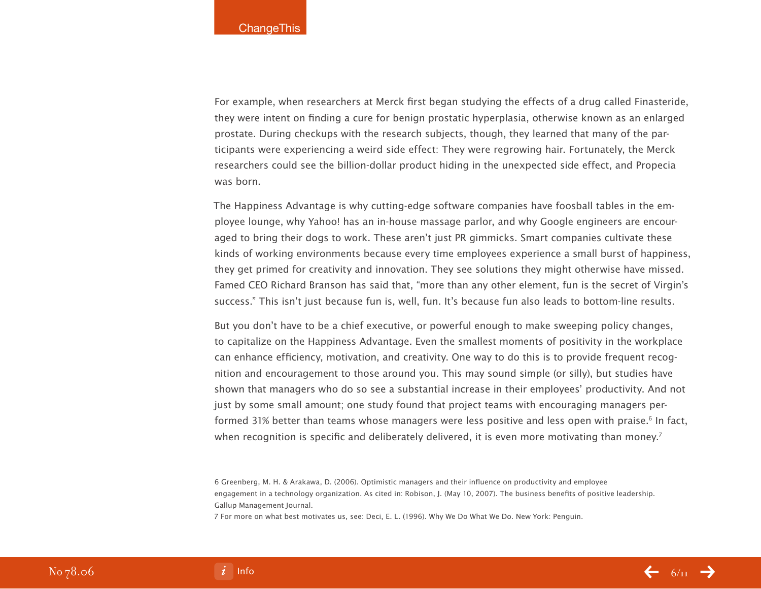For example, when researchers at Merck first began studying the effects of a drug called Finasteride, they were intent on finding a cure for benign prostatic hyperplasia, otherwise known as an enlarged prostate. During checkups with the research subjects, though, they learned that many of the participants were experiencing a weird side effect: They were regrowing hair. Fortunately, the Merck researchers could see the billion-dollar product hiding in the unexpected side effect, and Propecia was born.

The Happiness Advantage is why cutting-edge software companies have foosball tables in the employee lounge, why Yahoo! has an in-house massage parlor, and why Google engineers are encouraged to bring their dogs to work. These aren't just PR gimmicks. Smart companies cultivate these kinds of working environments because every time employees experience a small burst of happiness, they get primed for creativity and innovation. They see solutions they might otherwise have missed. Famed CEO Richard Branson has said that, "more than any other element, fun is the secret of Virgin's success." This isn't just because fun is, well, fun. It's because fun also leads to bottom-line results.

But you don't have to be a chief executive, or powerful enough to make sweeping policy changes, to capitalize on the Happiness Advantage. Even the smallest moments of positivity in the workplace can enhance efficiency, motivation, and creativity. One way to do this is to provide frequent recognition and encouragement to those around you. This may sound simple (or silly), but studies have shown that managers who do so see a substantial increase in their employees' productivity. And not just by some small amount; one study found that project teams with encouraging managers performed 31% better than teams whose managers were less positive and less open with praise.<sup>6</sup> In fact, when recognition is specific and deliberately delivered, it is even more motivating than money.<sup>7</sup>

6 Greenberg, M. H. & Arakawa, D. (2006). Optimistic managers and their influence on productivity and employee engagement in a technology organization. As cited in: Robison, J. (May 10, 2007). The business benefits of positive leadership. Gallup Management Journal.

7 For more on what best motivates us, see: Deci, E. L. (1996). Why We Do What We Do. New York: Penguin.

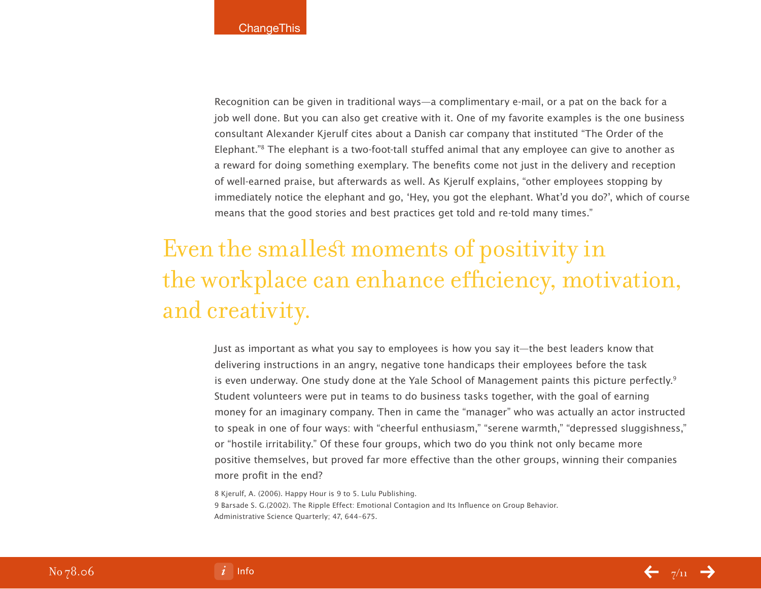Recognition can be given in traditional ways—a complimentary e-mail, or a pat on the back for a job well done. But you can also get creative with it. One of my favorite examples is the one business consultant Alexander Kjerulf cites about a Danish car company that instituted "The Order of the Elephant."8 The elephant is a two-foot-tall stuffed animal that any employee can give to another as a reward for doing something exemplary. The benefits come not just in the delivery and reception of well-earned praise, but afterwards as well. As Kjerulf explains, "other employees stopping by immediately notice the elephant and go, 'Hey, you got the elephant. What'd you do?', which of course means that the good stories and best practices get told and re-told many times."

# Even the smallest moments of positivity in the workplace can enhance efficiency, motivation, and creativity.

Just as important as what you say to employees is how you say it—the best leaders know that delivering instructions in an angry, negative tone handicaps their employees before the task is even underway. One study done at the Yale School of Management paints this picture perfectly.<sup>9</sup> Student volunteers were put in teams to do business tasks together, with the goal of earning money for an imaginary company. Then in came the "manager" who was actually an actor instructed to speak in one of four ways: with "cheerful enthusiasm," "serene warmth," "depressed sluggishness," or "hostile irritability." Of these four groups, which two do you think not only became more positive themselves, but proved far more effective than the other groups, winning their companies more profit in the end?

8 Kjerulf, A. (2006). Happy Hour is 9 to 5. Lulu Publishing. 9 Barsade S. G.(2002). The Ripple Effect: Emotional Contagion and Its Influence on Group Behavior. Administrative Science Quarterly; 47, 644–675.



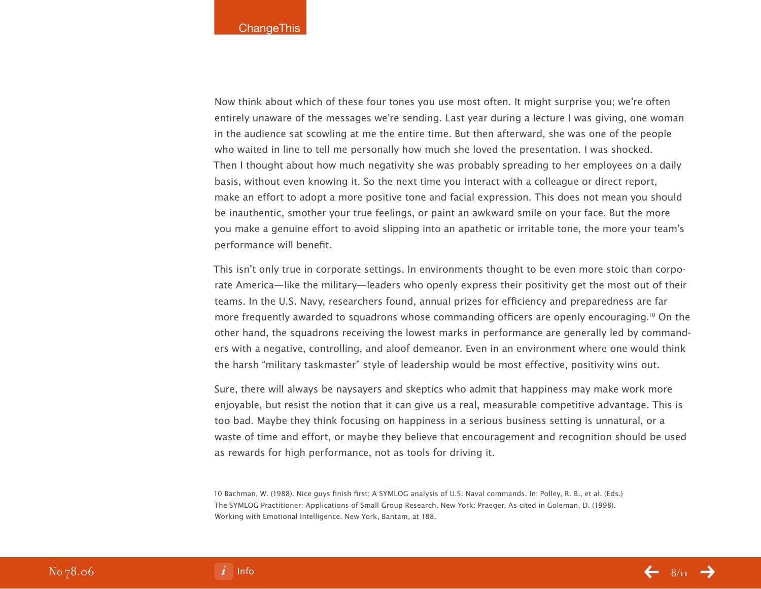Now think about which of these four tones you use most often. It might surprise you; we're often entirely unaware of the messages we're sending. Last year during a lecture I was giving, one woman in the audience sat scowling at me the entire time. But then afterward, she was one of the people who waited in line to tell me personally how much she loved the presentation. I was shocked. Then I thought about how much negativity she was probably spreading to her employees on a daily basis, without even knowing it. So the next time you interact with a colleague or direct report, make an effort to adopt a more positive tone and facial expression. This does not mean you should be inauthentic, smother your true feelings, or paint an awkward smile on your face. But the more you make a genuine effort to avoid slipping into an apathetic or irritable tone, the more your team's performance will benefit.

This isn't only true in corporate settings. In environments thought to be even more stoic than corporate America—like the military—leaders who openly express their positivity get the most out of their teams. In the U.S. Navy, researchers found, annual prizes for efficiency and preparedness are far more frequently awarded to squadrons whose commanding officers are openly encouraging.<sup>10</sup> On the other hand, the squadrons receiving the lowest marks in performance are generally led by commanders with a negative, controlling, and aloof demeanor. Even in an environment where one would think the harsh "military taskmaster" style of leadership would be most effective, positivity wins out.

Sure, there will always be naysayers and skeptics who admit that happiness may make work more enjoyable, but resist the notion that it can give us a real, measurable competitive advantage. This is too bad. Maybe they think focusing on happiness in a serious business setting is unnatural, or a waste of time and effort, or maybe they believe that encouragement and recognition should be used as rewards for high performance, not as tools for driving it.

10 Bachman, W. (1988). Nice guys finish first: A SYMLOG analysis of U.S. Naval commands. In: Polley, R. B., et al. (Eds.) The SYMLOG Practitioner: Applications of Small Group Research. New York: Praeger. As cited in Goleman, D. (1998). Working with Emotional Intelligence. New York, Bantam, at 188.



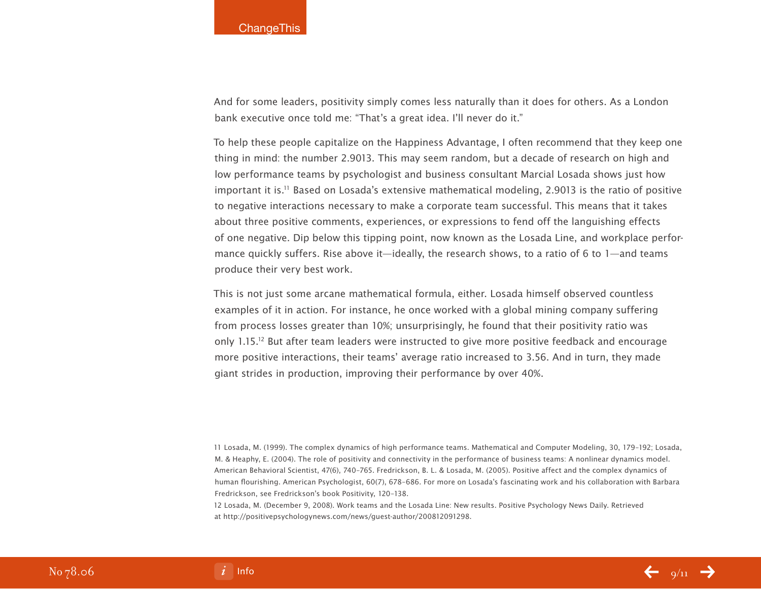And for some leaders, positivity simply comes less naturally than it does for others. As a London bank executive once told me: "That's a great idea. I'll never do it."

To help these people capitalize on the Happiness Advantage, I often recommend that they keep one thing in mind: the number 2.9013. This may seem random, but a decade of research on high and low performance teams by psychologist and business consultant Marcial Losada shows just how important it is.<sup>11</sup> Based on Losada's extensive mathematical modeling, 2.9013 is the ratio of positive to negative interactions necessary to make a corporate team successful. This means that it takes about three positive comments, experiences, or expressions to fend off the languishing effects of one negative. Dip below this tipping point, now known as the Losada Line, and workplace performance quickly suffers. Rise above it—ideally, the research shows, to a ratio of 6 to 1—and teams produce their very best work.

This is not just some arcane mathematical formula, either. Losada himself observed countless examples of it in action. For instance, he once worked with a global mining company suffering from process losses greater than 10%; unsurprisingly, he found that their positivity ratio was only 1.15.12 But after team leaders were instructed to give more positive feedback and encourage more positive interactions, their teams' average ratio increased to 3.56. And in turn, they made giant strides in production, improving their performance by over 40%.

11 Losada, M. (1999). The complex dynamics of high performance teams. Mathematical and Computer Modeling, 30, 179–192; Losada, M. & Heaphy, E. (2004). The role of positivity and connectivity in the performance of business teams: A nonlinear dynamics model. American Behavioral Scientist, 47(6), 740–765. Fredrickson, B. L. & Losada, M. (2005). Positive affect and the complex dynamics of human flourishing. American Psychologist, 60(7), 678–686. For more on Losada's fascinating work and his collaboration with Barbara Fredrickson, see Fredrickson's book Positivity, 120–138.

12 Losada, M. (December 9, 2008). Work teams and the Losada Line: New results. Positive Psychology News Daily. Retrieved at http://positivepsychologynews.com/news/guest-author/200812091298.

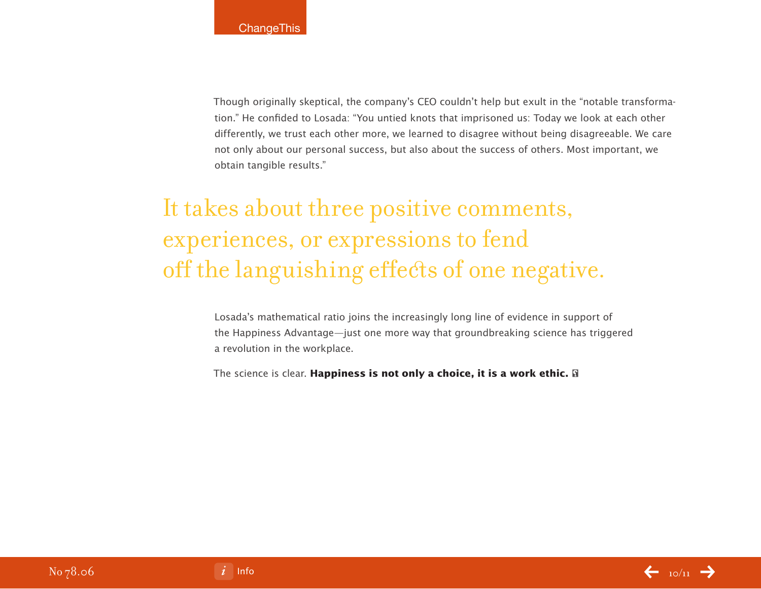Though originally skeptical, the company's CEO couldn't help but exult in the "notable transformation." He confided to Losada: "You untied knots that imprisoned us: Today we look at each other differently, we trust each other more, we learned to disagree without being disagreeable. We care not only about our personal success, but also about the success of others. Most important, we obtain tangible results."

# It takes about three positive comments, experiences, or expressions to fend off the languishing effects of one negative.

Losada's mathematical ratio joins the increasingly long line of evidence in support of the Happiness Advantage—just one more way that groundbreaking science has triggered a revolution in the workplace.

The science is clear. **Happiness is not only a choice, it is a work ethic.**